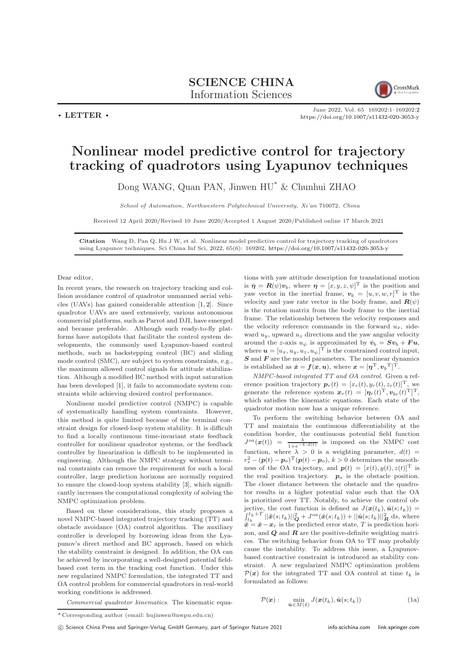

 $\cdot$  LETTER  $\cdot$ 

## June 2022, Vol. 65 169202:1–169202[:2](#page-1-0) <https://doi.org/10.1007/s11432-020-3053-y>

## Nonlinear model predictive control for trajectory tracking of quadrotors using Lyapunov techniques

Dong WANG, Quan PAN, Jinwen HU\* & Chunhui ZHAO

School of Automation, Northwestern Polytechnical University, Xi'an 710072, China

Received 12 April 2020/Revised 10 June 2020/Accepted 1 August 2020/Published online 17 March 2021

Citation Wang D, Pan Q, Hu J W, et al. Nonlinear model predictive control for trajectory tracking of quadrotors using Lyapunov techniques. Sci China Inf Sci, 2022, 65(6): 169202, <https://doi.org/10.1007/s11432-020-3053-y>

## Dear editor,

In recent years, the research on trajectory tracking and collision avoidance control of quadrotor unmanned aerial vehicles (UAVs) has gained considerable attention [\[1,](#page-1-1) [2\]](#page-1-2). Since quadrotor UAVs are used extensively, various autonomous commercial platforms, such as Parrot and DJI, have emerged and became preferable. Although such ready-to-fly platforms have autopilots that facilitate the control system developments, the commonly used Lyapunov-based control methods, such as backstepping control (BC) and sliding mode control (SMC), are subject to system constraints, e.g., the maximum allowed control signals for attitude stabilization. Although a modified BC method with input saturation has been developed [\[1\]](#page-1-1), it fails to accommodate system constraints while achieving desired control performance.

Nonlinear model predictive control (NMPC) is capable of systematically handling system constraints. However, this method is quite limited because of the terminal constraint design for closed-loop system stability. It is difficult to find a locally continuous time-invariant state feedback controller for nonlinear quadrotor systems, or the feedback controller by linearization is difficult to be implemented in engineering. Although the NMPC strategy without terminal constraints can remove the requirement for such a local controller, large prediction horizons are normally required to ensure the closed-loop system stability [\[3\]](#page-1-3), which significantly increases the computational complexity of solving the NMPC optimization problem.

Based on these considerations, this study proposes a novel NMPC-based integrated trajectory tracking (TT) and obstacle avoidance (OA) control algorithm. The auxiliary controller is developed by borrowing ideas from the Lyapunov's direct method and BC approach, based on which the stability constraint is designed. In addition, the OA can be achieved by incorporating a well-designed potential fieldbased cost term in the tracking cost function. Under this new regularized NMPC formulation, the integrated TT and OA control problem for commercial quadrotors in real-world working conditions is addressed.

Commercial quadrotor kinematics. The kinematic equa-

\* Corresponding author (email: hujinwen@nwpu.edu.cn)

c Science China Press and Springer-Verlag GmbH Germany, part of Springer Nature 2021 <info.scichina.com><link.springer.com>

tions with yaw attitude description for translational motion is  $\dot{\eta} = R(\psi)v_b$ , where  $\eta = [x, y, z, \psi]^T$  is the position and yaw vector in the inertial frame,  $\mathbf{v}_b = [u, v, w, r]^T$  is the velocity and yaw rate vector in the body frame, and  $\mathbf{R}(\psi)$ is the rotation matrix from the body frame to the inertial frame. The relationship between the velocity responses and the velocity reference commands in the forward  $u_x$ , sideward  $u_y$ , upward  $u_z$  directions and the yaw angular velocity around the z-axis  $u_{\psi}$  is approximated by  $\dot{v}_b = Sv_b + Fu$ , where  $\boldsymbol{u} = [u_x, u_y, u_z, u_{\psi}]^{\mathrm{T}}$  is the constrained control input,  $S$  and  $F$  are the model parameters. The nonlinear dynamics is established as  $\dot{\mathbf{x}} = \mathbf{f}(\mathbf{x}, \mathbf{u})$ , where  $\mathbf{x} = [\boldsymbol{\eta}^{\mathrm{T}}, \boldsymbol{v}_b^{\mathrm{T}}]^{\mathrm{T}}$ .

NMPC-based integrated TT and OA control. Given a reference position trajectory  $\mathbf{p}_r(t) = [x_r(t), y_r(t), z_r(t)]^T$ , we generate the reference system  $\boldsymbol{x}_r(t) = [\boldsymbol{\eta}_r(t)^{\mathrm{T}}, \boldsymbol{v}_{br}(t)^{\mathrm{T}}]^{\mathrm{T}},$ which satisfies the kinematic equations. Each state of the quadrotor motion now has a unique reference.

To perform the switching behavior between OA and TT and maintain the continuous differentiability at the condition border, the continuous potential field function  $J^{oa}(\boldsymbol{x}(t)) = \frac{\lambda}{1+e^{-k \cdot d(t)}}$  is imposed on the NMPC cost function, where  $\lambda > 0$  is a weighting parameter,  $d(t) =$  $r_s^2 - (\boldsymbol{p}(t) - \boldsymbol{p}_o)^{\mathrm{T}} (\boldsymbol{p}(t) - \boldsymbol{p}_o), k > 0$  determines the smoothness of the OA trajectory, and  $p(t) = [x(t), y(t), z(t)]^T$  is the real position trajectory.  $p_o$  is the obstacle position. The closer distance between the obstacle and the quadrotor results in a higher potential value such that the OA is prioritized over TT. Notably, to achieve the control objective, the cost function is defined as  $J(\boldsymbol{x}(t_k), \hat{\boldsymbol{u}}(s; t_k)) =$  $\int_{t_k}^{t_k+T} ||\tilde{x}(s;t_k)||_Q^2 + J^{oa}(\hat{x}(s;t_k)) + ||\hat{u}(s;t_k)||_R^2 ds$ , where  $\tilde{\boldsymbol{x}} = \hat{\boldsymbol{x}} - \boldsymbol{x}_r$  is the predicted error state, T is prediction horizon, and  $Q$  and  $R$  are the positive-definite weighting matrices. The switching behavior from OA to TT may probably cause the instability. To address this issue, a Lyapunovbased contractive constraint is introduced as stability constraint. A new regularized NMPC optimization problem  $\mathcal{P}(\boldsymbol{x})$  for the integrated TT and OA control at time  $t_k$  is formulated as follows:

$$
\mathcal{P}(\boldsymbol{x}) : \quad \min_{\hat{\boldsymbol{u}} \in M(\delta)} J(\boldsymbol{x}(t_k), \hat{\boldsymbol{u}}(s; t_k)) \tag{1a}
$$